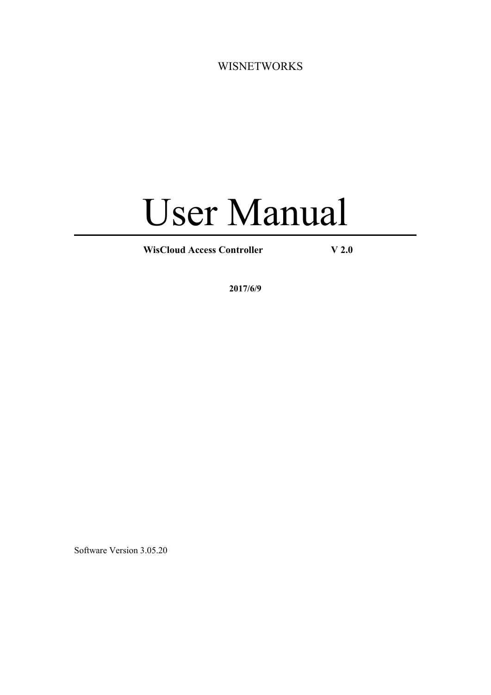<span id="page-0-0"></span>WISNETWORKS

# User Manual

**WisCloud Access Controller V 2.0**

**2017/6/9**

Software Version 3.05.20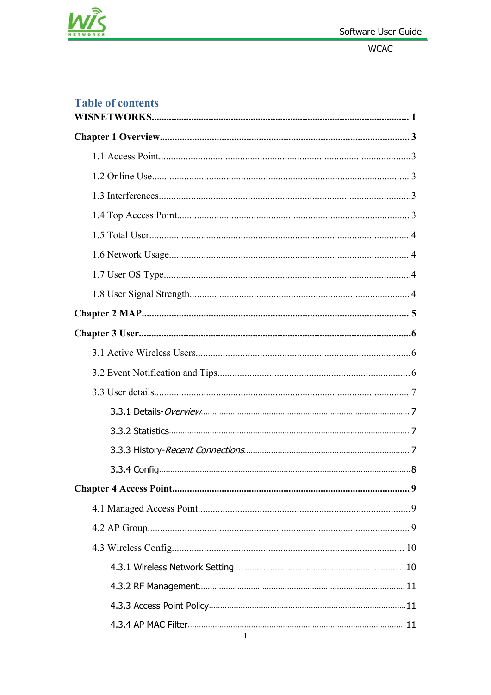

### **Table of contents**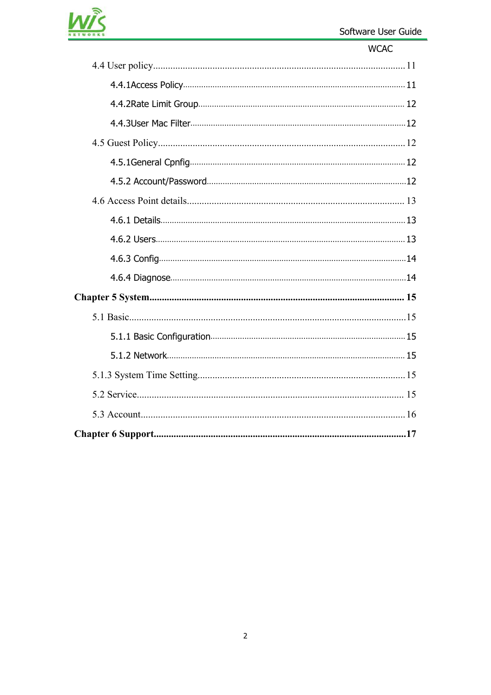

| <b>WCAC</b> |
|-------------|
|             |
|             |
|             |
|             |
|             |
|             |
|             |
|             |
|             |
|             |
|             |
|             |
|             |
|             |
|             |
|             |
|             |
|             |
|             |
|             |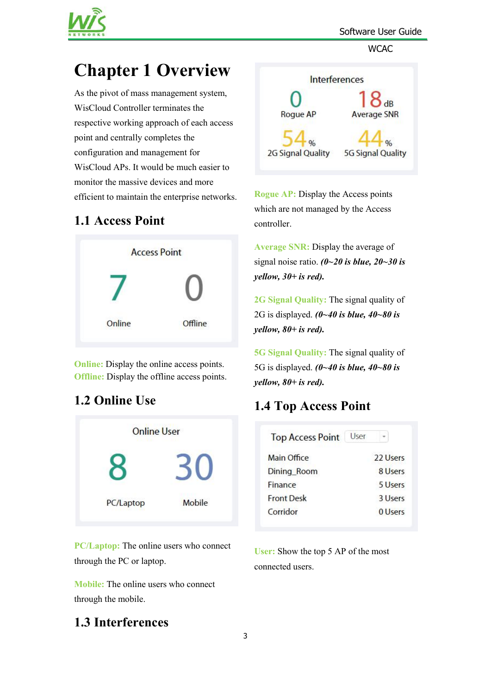

# <span id="page-3-0"></span>**Chapter 1 Overview**

As the pivot of mass management system, WisCloud Controller terminates the<br>Roque AP respective working approach of each access point and centrally completes the configuration and management for WisCloud APs. It would be much easier to monitor the massive devices and more efficient to maintain the enterprise networks.

# **1.1 Access Point**



**Online:** Display the online access points. **Offline:** Display the offline access points.

# **1.2 Online Use**



**PC/Laptop:** The online users who connect through the PC or laptop.

**Mobile:** The online users who connect through the mobile.

# **1.3 Interferences**

<span id="page-3-1"></span>

**Rogue AP:** Display the Access points which are not managed by the Access controller.

**Average SNR:** Display the average of signal noise ratio.  $(0 \sim 20 \text{ is blue}, 20 \sim 30 \text{ is}$ *yellow, 30+ is red).*

**2G Signal Quality:** The signal quality of 2G is displayed. *(0~40 is blue, 40~80 is yellow, 80+ is red).*

**5G Signal Quality:** The signal quality of 5G is displayed. *(0~40 is blue, 40~80 is yellow, 80+ is red).*

# **1.4 Top Access Point**

| <b>Top Access Point</b> | User     |
|-------------------------|----------|
| Main Office             | 22 Users |
| Dining_Room             | 8 Users  |
| Finance                 | 5 Users  |
| <b>Front Desk</b>       | 3 Users  |
| Corridor                | 0 Users  |

**User:** Show the top 5 AP of the most connected users.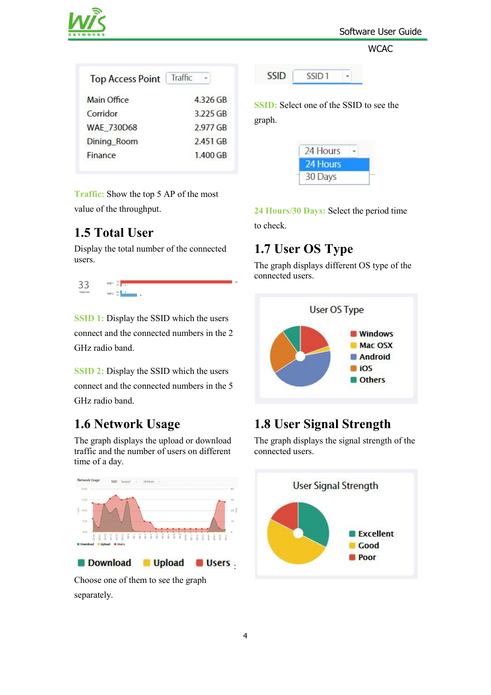

<span id="page-4-0"></span>

| <b>Top Access Point</b> | Traffic  |
|-------------------------|----------|
| <b>Main Office</b>      | 4.326 GB |
| Corridor                | 3.225 GB |
| <b>WAE 730D68</b>       | 2.977 GB |
| Dining_Room             | 2.451 GB |
| Finance                 | 1.400 GB |

**Traffic:** Show the top 5 AP of the most value of the throughput.

### **1.5 Total User**

Display the total number of the connected users.



**SSID 1:** Display the SSID which the users connect and the connected numbers in the 2 GHz radio band.

**SSID 2:** Display the SSID which the users connect and the connected numbers in the 5 GHz radio band.

# **1.6 Network Usage**

The graph displays the upload or download traffic and the number of users on different time of a day.



Choose one of them to see the graph separately.

<span id="page-4-1"></span>

**SSID:** Select one of the SSID to see the graph.



**24 Hours/30 Days:** Select the period time

to check.

# **1.7 User OS Type**

The graph displays different OS type of the connected users.



# **1.8 User Signal Strength**

The graph displays the signal strength of the connected users.

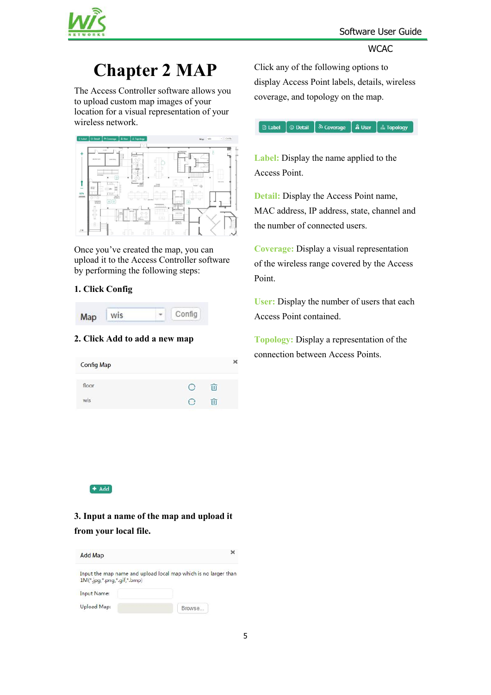

# <span id="page-5-0"></span>**Chapter 2 MAP**

The Access Controller software allows you to upload custom map images of your location for a visual representation of your wireless network.



Once you've created the map, you can upload it to the Access Controller software by performing the following steps:

#### **1. Click Config**



#### **2. Click Add toadd a new map**

Click any of the following options to display Access Point labels, details, wireless coverage, and topology on the map.

| **a Label** | ① Detail | <sup>③</sup> Coverage | **A** User | 孟 Topology

**Label:** Display the name applied to the Access Point.

**Detail:** Display the Access Point name, MAC address, IP address, state, channel and the number of connected users.

**Coverage:** Display a visual representation of the wireless range covered by the Access Point.

**User:** Display the number of users that each Access Point contained.

**Topology:** Display a representation of the connection between Access Points.

#### $+$  Add

**3. Input a name of the map and upload it from your local file.**

| <b>Add Map</b>              |                                                                 |
|-----------------------------|-----------------------------------------------------------------|
| 1M(*,jpg,*,png,*,gif,*,bmp) | Input the map name and upload local map which is no larger thar |
| Input Name:                 |                                                                 |
| Upload Map:                 | Browse.                                                         |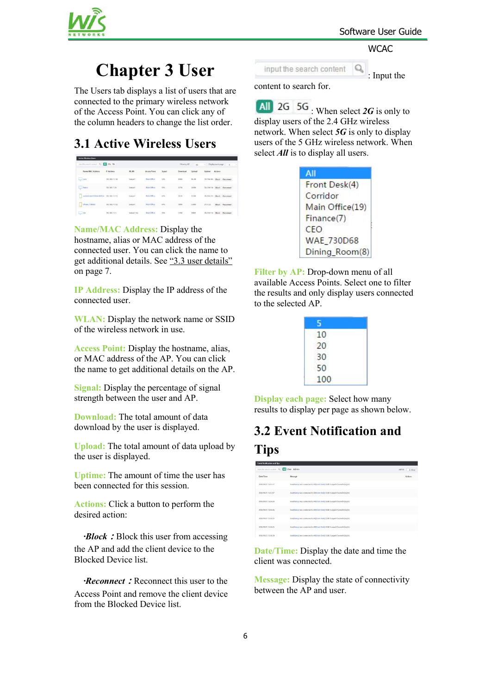

# <span id="page-6-1"></span><span id="page-6-0"></span>**Chapter 3 User**

The Users tab displays a list of users that are connected to the primary wireless network of the Access Point.You can click any of the column headers to change the list order.

# **3.1 Active Wireless Users**

| input the search content Q. MI 2G 5G |                                                              |            |                                             |             | Filter by AP                    | A1                                              | v            | Display each page  | $\overline{\mathbf{x}}$              |
|--------------------------------------|--------------------------------------------------------------|------------|---------------------------------------------|-------------|---------------------------------|-------------------------------------------------|--------------|--------------------|--------------------------------------|
| Name/MAC Address                     | IP Address                                                   | WLAN       | Access Point                                | Sonal       | Download                        | Upload                                          | Uptime       | Actions            |                                      |
| Last Lucy                            | 192,168,11,136                                               | Syrioad    | Main Office                                 | 52%         | 666M                            | 46.2M                                           | SIX 1944-40s | Block              | Reconnect                            |
| Ring                                 | 192,168,11.26                                                | Synsad     | Main Office                                 | 57%         | AT7M                            | 34,094                                          | Sh Slee You  | Block:             | Reconnect                            |
| android-ate1184da182f224             | 192.168.11.115                                               | Syrgad     | Main Office                                 | 62%<br>w    | <b>CONTRACTOR</b><br>351M<br>m. | <b>CONTRACTOR</b><br>12,9M<br><b>CONTRACTOR</b> |              | and similar        | th 29m 27s Block Reconnect           |
| Phone 7ch6dd<br>L                    | <br>192,168,11.162                                           | Surgust    | On such as a start<br>Main Office           | 67%<br>- 70 | <b>RYSK</b><br>189M<br>m        | AS SEA<br><b>S.68M</b>                          | 21m52s       | GOLFOUR C<br>Block | <b>CAND DISTRICTION</b><br>Reconnect |
| <b>Last</b>                          | <b>School And Advised Print</b><br>292.168.11.11<br>7800 B.H | Syripad 5G | <b>Contract Construction</b><br>Main Office | -200<br>35% | 2010<br>173M                    | <b>Contract</b><br><b>794M</b><br>,,,,          |              |                    | 4h 25m 15s Block Reconnect           |

#### **Name/MAC Address:** Display the

hostname, alias or MAC address of the connected user. You can click the name to get additional details. See "3.3 user [details"](#page-7-0) on page 7.

**IP Address:** Display the IP address of the connected user.

**WLAN:** Display the network name or SSID of the wireless network in use.

**Access Point:** Display the hostname, alias, or MAC address of the AP. You can click the name to get additional details on the AP.

**Signal:** Display the percentage of signal strength between the user and AP.

**Download:** The total amount of data download by the user is displayed.

**Upload:** The total amount of data upload by the user is displayed.

**Uptime:** The amount of time the user has been connected for this session.

**Actions:** Click a button to perform the desired action:

*·Block***:**Block this user from accessing the AP and add the client device to the Blocked Device list.

*·Reconnect***:**Reconnect this user to the Access Point and remove the client device from the Blocked Device list.

<span id="page-6-2"></span>

: Input the

content to search for.

**All** 2G 5G When select 2G is only to display users of the 2.4 GHz wireless network. When select *5G* is only to display users of the 5 GHz wireless network. When select *All* is to display all users.

| All             |
|-----------------|
| Front Desk(4)   |
| Corridor        |
| Main Office(19) |
| Finance(7)      |
| <b>CEO</b>      |
| WAE_730D68      |
| Dining_Room(8)  |

**Filter by AP:** Drop-down menu of all available Access Points. Select one to filter the results and only display users connected to the selected AP.

| 10 <sup>°</sup> |  |
|-----------------|--|
| 20              |  |
| 30              |  |
| 50              |  |
| 100             |  |

**Display each page:** Select how many results to display per page as shown below.

# **3.2 Event Notification and**

### **Tips**

| <b>Event Netification and Tips</b> |                                                                             |                  |
|------------------------------------|-----------------------------------------------------------------------------|------------------|
|                                    | input the search content Q All User Admin                                   | within<br>1 Hour |
| Date/Time                          | Message                                                                     | Actions          |
| 2016/09/21 15:51:17                | User[Nancy] was connected to AP(Front Desk) ESSID Surgari Channel 6ds/g/rd  |                  |
| 2016/09/21 15:51:07                | UserDiancyl was connected to APD ront Deakl ESSID Surgian Channel (db/g/m)  |                  |
| 2016/09/21 15:50:56                | User(Nancy) was connected to AP(Front Desk) ESSID Sunpart Channel 6(b/g/n)  |                  |
| 2016/03/21 15:50:46                | User(Nancy) was connected to AP(Front Desk) ESSID Surgari Channel 6(b/q/ti) |                  |
| 2016/09/21 15:50:35                | User(Nancy) was connected to APShont Desk) ESSID Sunpart Channel 6ds/g/rd   |                  |
| 2016/09/21 19:50:25                | User(Nancy) was connected to AP(Front Desk) ESSID Surgod Channel 6(big/n)   |                  |
| 2016/09/21 15:50:20                | UserDiancy) was connected to APIF ront Deski ESSID Sunpart Channel 6(b/g/n) |                  |
|                                    |                                                                             |                  |

**Date/Time:** Display the date and time the client was connected.

**Message:** Display the state of connectivity between the AP and user.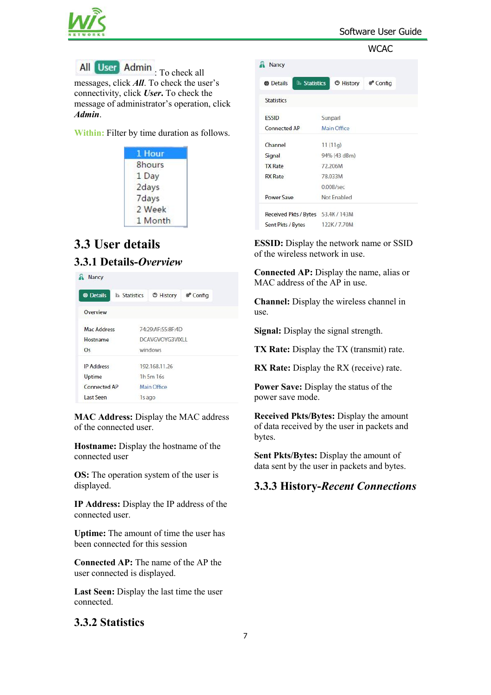

<span id="page-7-0"></span>All User Admin : To check all messages, click *All*. To check the user's connectivity, click *User***.** To check the message of administrator's operation, click *Admin*.

**Within:** Filter by time duration as follows.

| 1 Hour  |  |
|---------|--|
| 8hours  |  |
| 1 Day   |  |
| 2days   |  |
| 7days   |  |
| 2 Week  |  |
| 1 Month |  |

# **3.3 User details 3.3.1 Details-***Overview*

| Nancy             |                      |                   |                     |  |
|-------------------|----------------------|-------------------|---------------------|--|
| <b>B</b> Details  | <b>Ih Statistics</b> | <b>O</b> History  | <sup>®</sup> Config |  |
| Overview          |                      |                   |                     |  |
| Mac Address       |                      | 74:29:AF:55:8F:4D |                     |  |
| Hostname          | DCAVGVOYG3VIXLL      |                   |                     |  |
| Os                | windows              |                   |                     |  |
| <b>IP Address</b> |                      | 192.168.11.26     |                     |  |
| Uptime            | 1h 5m 16s            |                   |                     |  |
| Connected AP      |                      | Main Office       |                     |  |
| Last Seen         | 1s ago               |                   |                     |  |

**MAC Address:** Display the MAC address of the connected user.

**Hostname:** Display the hostname of the connected user

**OS:** The operation system of the user is displayed.

**IP Address:** Display the IP address of the connected user.

**Uptime:** The amount of time the user has been connected for this session

**Connected AP:** The name of the AP the user connected is displayed.

**Last Seen:** Display the last time the user connected.

#### **3.3.2 Statistics**

<span id="page-7-1"></span>

| <b>Nancy</b>                           |                             |  |
|----------------------------------------|-----------------------------|--|
| <b>Ih</b> Statistics<br><b>Details</b> | History <sup>®</sup> Config |  |
| <b>Statistics</b>                      |                             |  |
| <b>ESSID</b>                           | Sunparl                     |  |
| Connected AP                           | Main Office                 |  |
| Channel                                | 11(11q)                     |  |
| Signal                                 | 94% (43 dBm)                |  |
| <b>TX Rate</b>                         | 72.206M                     |  |
| <b>RX</b> Rate                         | 78.033M                     |  |
|                                        | 0.00B/sec                   |  |
| Power Save                             | Not Enabled                 |  |
| Received Pkts / Bytes 53.4K / 143M     |                             |  |
| Sent Pkts / Bytes                      | 122K/7.70M                  |  |

**ESSID:** Display the network name or SSID of the wireless network in use.

**Connected AP:** Display the name, alias or MAC address of the AP in use.

**Channel:** Display the wireless channel in use.

**Signal:** Display the signal strength.

**TX Rate:** Display the TX (transmit) rate.

**RX Rate:** Display the RX (receive) rate.

**Power Save:** Display the status of the power save mode.

**Received Pkts/Bytes:** Display the amount of data received by the user in packets and bytes.

**Sent Pkts/Bytes:** Display the amount of data sent by the user in packets and bytes.

#### **3.3.3 History-***Recent Connections*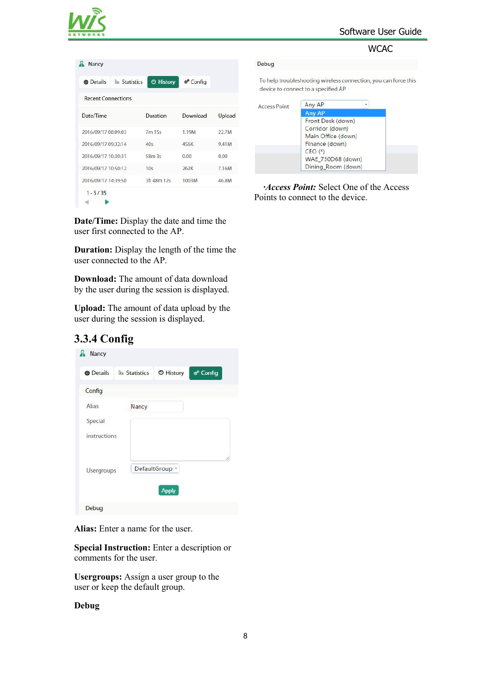

<span id="page-8-0"></span>

| Nancy                                           |                             |          |        |
|-------------------------------------------------|-----------------------------|----------|--------|
| <b>In Statistics</b><br><b><i>A</i></b> Details | <b><sup>®</sup></b> History | ® Config |        |
| <b>Recent Connections</b>                       |                             |          |        |
| Date/Time                                       | Duration                    | Download | Upload |
| 2016/09/17 08:09:03                             | 7m 15s                      | 1.19M    | 22.7M  |
| 2016/09/17 09:32:14                             | 40s                         | 456K     | 9.41M  |
| 2016/09/17 10:30:31                             | 58m 3s                      | 0.00     | 0.00   |
| 2016/09/17 10:50:12                             | 10s                         | 262K     | 7.16M  |
| 2016/09/17 14:39:50                             | 3h 48m 12s                  | 1003M    | 46.8M  |
| $1 - 5/35$                                      |                             |          |        |

**Date/Time:** Display the date and time the user first connected to the AP.

**Duration:** Display the length of the time the user connected to the AP.

**Download:** The amount of data download by the user during the session is displayed.

**Upload:** The amount of data upload by the user during the session is displayed.

#### **3.3.4 Config**



**Alias:** Enter a name for the user.

**Special Instruction:** Enter a description or comments for the user.

**Usergroups:** Assign a user group to the user or keep the default group.

#### **Debug**

#### Debug

To help troubleshooting wireless connection, you can force this device to connect to a specified AP

| <b>Access Point</b> | Any AP             | ٠ |  |  |  |
|---------------------|--------------------|---|--|--|--|
|                     | Any AP             |   |  |  |  |
|                     | Front Desk (down)  |   |  |  |  |
|                     | Corridor (down)    |   |  |  |  |
|                     | Main Office (down) |   |  |  |  |
|                     | Finance (down)     |   |  |  |  |
|                     | $CEO$ $(*)$        |   |  |  |  |
|                     | WAE 730D68 (down)  |   |  |  |  |
|                     | Dining_Room (down) |   |  |  |  |

*·Access Point:* Select One of the Access Points to connect to the device.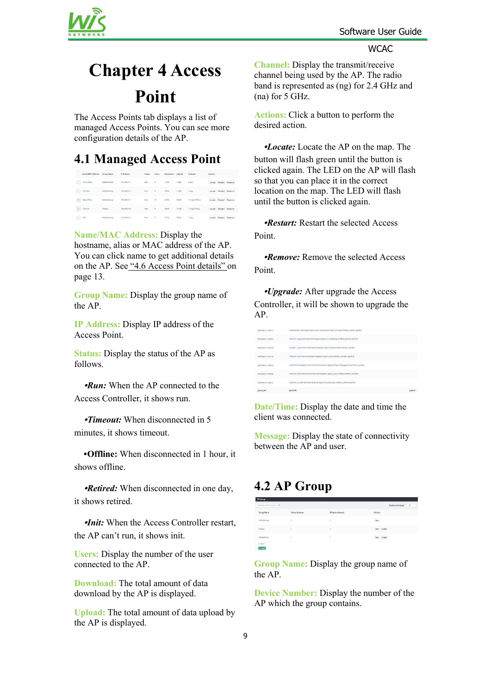

# <span id="page-9-1"></span><span id="page-9-0"></span>**Chapter 4 Access Point**

The Access Points tab displays a listof managed Access Points. You can see more configuration details of the AP.

### **4.1 Managed Access Point**

|             | Name/MAC Address | Group Name   | IP Address   | Status           | Users          | Download | Upload      | Channel           | <b>Actions</b> |               |                |
|-------------|------------------|--------------|--------------|------------------|----------------|----------|-------------|-------------------|----------------|---------------|----------------|
|             | Front Desk       | DefaultGroup | 192,168,11.3 | Fixer.           | $\circ$        | 1.74G    | 150M        | 6000              | Locate         |               | Restart Remove |
|             | Corridor         | DefaultGroup | 192,168,11.5 | Fun <sup>1</sup> | $\circ$        | 326M     | 12.6M       | 10nq              | Locate         | <b>Dester</b> | Remove         |
| $\circ$     | Main Office      | DefaultGroup | 192,168,11,7 | <b>Busi</b>      | 17             | 2,976    | <b>SSGM</b> | 11 (ng), 149 (ac) | Locate         |               | Restart Remove |
| $ 0\rangle$ | Finance          | Group1       | 192,168,11.8 | Run              | $\mathbb{R}^2$ | 567M     | 75.7M       | 11 (ng), 40 (ac)  | Locate         | Destart       | Remove         |
|             | CEO              | DefaultGroup | 192,168,11.6 | Right            | ö              | 3,976    | 865M        | Epec T<br>- 250   | Locate         | Restart       | Remova         |

**Name/MAC Address:** Display the hostname, alias or MAC address of the AP. You can click name to get additional details on the AP. See "4.6 Access Point [details"](#page-13-0) on page 13.

**Group Name:** Display the group name of the AP.

**IP Address:** Display IP address of the Access Point.

**Status:** Display the status of the AP as follows.

**·***Run:* When the AP connected to the Access Controller, it shows run.

**·***Timeout:* When disconnected in 5 minutes, it shows timeout.

**·Offline:** When disconnected in 1 hour, it shows offline.

**·***Retired:* When disconnected in one day, it shows retired.

**·***Init:* When the Access Controller restart, the AP can't run, it shows init.

**Users:** Display the number of the user connected to the AP.

**Download:** The total amount of data download by the AP is displayed.

**Upload:** The total amount of data upload by the AP is displayed.

<span id="page-9-2"></span>**Channel:** Display the transmit/receive channel being used by the AP. The radio band is represented as (ng) for 2.4 GHz and  $(na)$  for 5 GHz.

**Actions:** Click a button to perform the desired action.

**·***Locate:* Locate the AP on the map. The button will flash green until the button is clicked again. The LED on the AP will flash so that you can place it in the correct location on the map. The LED will flash until the button is clicked again.

**·***Restart:* Restart the selected Access Point.

**·***Remove:* Remove the selected Access Point.

**·***Upgrade:* After upgrade the Access Controller, it will be shown to upgrade the AP.

| 2010/09/24 14:45:55   | psegmetrus descapacitations en batteries to AP(30) Sanguarian Channel 10/g/n)           |        |
|-----------------------|-----------------------------------------------------------------------------------------|--------|
| StateMaking personnel | Usefata_7c495] was docomeded from APP ront Deal(1550) Songari Channel 6(b)g/n).         |        |
| 2010/09/24 14:00:28   | Usefata_7c495] was connected to APPAIN Office] ESSID Surgari Channel 11(b/g/ti)         |        |
| 2010/09/34 14:45/39   | Usefyee, X80j was connected to APJMain Office) ESSID Surpari Channel 11(b/g/n)          |        |
| 301050034 149970      | UserCharmendelProne) was disconnected from API2ming, Room( ESSID free Channel 11(b/g/n) |        |
| 30100201211010200     | Uselyine_X60j was disconnected from APJMain Office] ESSD Sonpart Channel 1 ((b)(y)(i)   |        |
| 2010/08/24 14:65:21   | User(vivo, X/) was disconnected from AP(Front Deal) ESSID Sumpart Channel 6(b) g/n)     |        |
| Date/Time             | abettsay                                                                                | ycpouz |

**Date/Time:** Display the date and time the client was connected.

**Message:** Display the state of connectivity between the AP and user.

### **4.2 AP Group**

| input the search contant Q. |                |                  | ×<br>Display each page<br>$\sim$ |
|-----------------------------|----------------|------------------|----------------------------------|
| Group Name                  | Device Number  | Wireless Network | Actions                          |
| DefaultGroup                | s              | ż                | $_{\rm{M}\rm{ee}}$               |
| Groupt                      |                | 3                | <b>View</b> Delete               |
| DiningRoom                  | $\overline{1}$ |                  | View Delete                      |
| $1 - 3/3$<br>$+$ Add        |                |                  |                                  |

**Group Name:** Display the group name of the AP.

**Device Number:** Display the number of the AP which the group contains.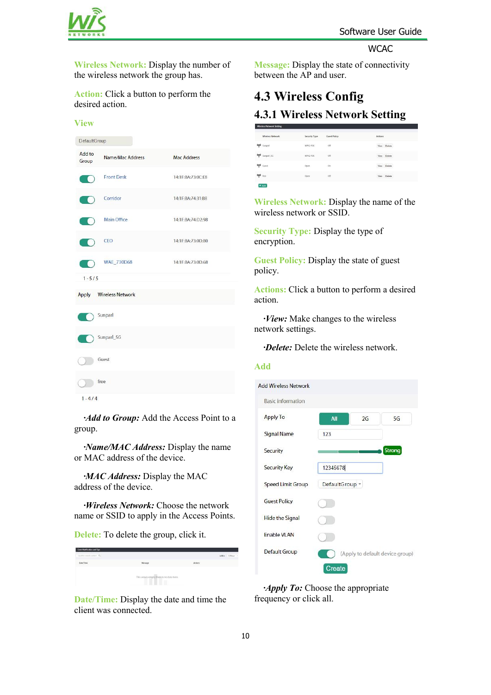

**Wireless Network:** Display the number of the wireless network the group has.

**Action:** Click a button to perform the desired action.

#### **View** DefaultGroup Add to Name/Mac Address Mac Address Group **Front Desk** 14:1F:BA:73:0C:E8 TO. Corridor 14-1F-RA-74-31-RR **Main Office** 14-1F-RA-74-D2-98 CEO 14:1F:BA:73:0D:B0 **WAE 730D68** 14:1F:BA:73:0D:68  $1 - 5/5$ Apply Wireless Network Sunparl Sunparl\_5G Guest  $\mathcal{L}$  $\bigcirc$  free  $1 - 4/4$

*<i>·Add to Group:* Add the Access Point to a *Apply To* group.

*<i>·Name/MAC Address:* Display the name or MAC address of the device.

*<i>·MAC Address:* Display the MAC Speed Limit Group Default Group address of the device.

*·Wireless Network:* Choose the network name or SSID to apply in the Access Points.

**Delete:** To delete the group, click it. **Example 21 Enable VLAN** 

| input for search content Q |                                            |         | within | 1 Hour |
|----------------------------|--------------------------------------------|---------|--------|--------|
| Date/Time                  | Message                                    | Actions |        |        |
|                            | This area is empty, there is no data here. |         |        |        |
|                            | ш                                          |         |        |        |

**Date/Time:** Display the date and time the client was connected.

<span id="page-10-0"></span>**Message:** Display the state of connectivity between the AP and user.

# **4.3 Wireless Config 4.3.1 Wireless Network Setting**

| Wireless Network       | Security Type       | <b>Guest Policy</b> | <b>Actions</b><br><b>AND READY</b>       |
|------------------------|---------------------|---------------------|------------------------------------------|
| 0 <sup>0</sup> Sumpart | WPA2-PSK<br><b></b> | cer<br>-55          | View Delete<br><b>CONTRACTOR</b>         |
| Opt sunpart SG         | WPA2-PSK            | on                  | View Delete                              |
| Opt Guest              | Open                | $\sim$<br>On        | View Delete                              |
| ore free               | Open                | oir<br>œ            | View Delete<br>The state for the company |
| $+Add$                 |                     |                     |                                          |

**Wireless Network:** Display the name of the wireless network or SSID.

**Security Type:** Display the type of encryption.

**Guest Policy:** Display the state of guest policy.

**Actions:** Click a button to perform a desired action.

*·View:* Make changes to the wireless network settings.

*·Delete:* Delete the wireless network.

#### **Add**



*·Apply To:* Choose the appropriate frequency or click all.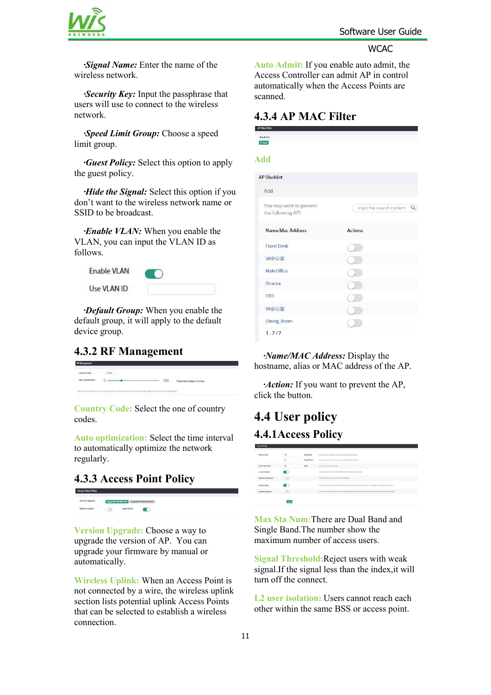



<span id="page-11-0"></span>*·Signal Name:* Enter the name of the wireless network.

*·Security Key:* Input the passphrase that users will use to connect to the wireless network.

*·Speed Limit Group:* Choose a speed limit group.

*·Guest Policy:* Select this option to apply the guest policy.

*·Hide the Signal:* Select this option if you don't want to the wireless network name or SSID to be broadcast.

*·Enable VLAN:* When you enable the VLAN, you can input the VLAN ID as follows.

| <b>Enable VLAN</b> |  |
|--------------------|--|
| Use VLAN ID        |  |

*·Default Group:* When you enable the default group, it will apply to the default device group.

#### **4.3.2 RF Management**

| <b>Country Code</b> | China |     |                             |
|---------------------|-------|-----|-----------------------------|
| Auto ontimization   |       | 100 | Timer Interval(per 20 mins) |

**Country Code:** Select the one of country codes.

**Auto optimization:** Select the time interval to automatically optimize the network regularly.

#### **4.3.3 Access Point Policy**

**Upgrade By Marsual Upgrade Automatically** Windess Unlink  $\bigcirc$  *Mulo Admit*  $\bigcirc$ 

**Version Upgrade:** Choose a way to upgrade the version of AP. You can upgrade your firmware by manual or automatically.

**Wireless Uplink:** When an Access Point is not connected by a wire, the wireless uplink section lists potential uplink Access Points that can be selected to establish a wireless connection.

<span id="page-11-1"></span>**Auto Admit:** If you enable auto admit, the Access Controller can admit AP in control automatically when the Access Points are scanned.

#### **4.3.4 AP MAC Filter**

| <b>Black List</b><br>$+Add$                  |                                      |
|----------------------------------------------|--------------------------------------|
| <b>Add</b>                                   |                                      |
| <b>AP Blacklist</b>                          |                                      |
| Add                                          |                                      |
| You may want to prevent<br>the following AP? | input the search content $\mathbb Q$ |
| Name/Mac Address                             | <b>Actions</b>                       |
| <b>Front Desk</b>                            |                                      |
| V8会议室                                        |                                      |
| Main Office                                  |                                      |
| Finance                                      |                                      |
| CEO                                          |                                      |
| V9会议室                                        |                                      |
| Dining_Room                                  |                                      |
| $1 - 7/7$                                    |                                      |

*·Name/MAC Address:* Display the hostname, alias or MAC address of the AP.

*<i>·Action:* If you want to prevent the AP, click the button.

# **4.4 User policy 4.4.1Access Policy**

| <b>DICENTROLLY</b>                                 | <b>San Maria</b> | <b>CONTRACTOR</b>  |                                                                                                                                                                             |
|----------------------------------------------------|------------------|--------------------|-----------------------------------------------------------------------------------------------------------------------------------------------------------------------------|
| Max Sta Naum<br>320 X X                            | 128              | Dual Band          | The maximum number of access years of dual-band dowcon                                                                                                                      |
|                                                    | 64               | <b>Single Band</b> | The maximum number of access users of single-bond devices                                                                                                                   |
| Signal Threshold                                   | 95               | dim                | Report comes with smak signal                                                                                                                                               |
| L2 user holizion                                   |                  |                    | thers cannot reach-each other within the siene BS or access point.                                                                                                          |
| <b>Efficiency Promotion</b>                        |                  |                    | Guidance for the courties around the look theory.                                                                                                                           |
| <b>Contractor Services</b><br><b>Band Steering</b> |                  |                    | the 95 hard resources to promote device access capacity when 2.45 band is in crowded or with high user density.<br>아이는 아이가 아이들이 아이들이 나서 들어가고 있었다. 이 사람은 어머니는 어머니는 아이들이 아니다. |
| <b><i><u>Rosening Strategy</u></i></b>             |                  |                    | The window claim can discusse and searchedy man to mody AP automatically, which has strongent signal strength                                                               |
|                                                    | Apply            |                    |                                                                                                                                                                             |
|                                                    |                  |                    |                                                                                                                                                                             |

**Max Sta Num:**There are Dual Band and Single Band.The number show the maximum number of access users.

**Signal Threshold:**Reject users with weak signal.If the signal less than the index,it will turn off the connect.

**L2 user isolation:** Users cannot reach each other within the same BSS or access point.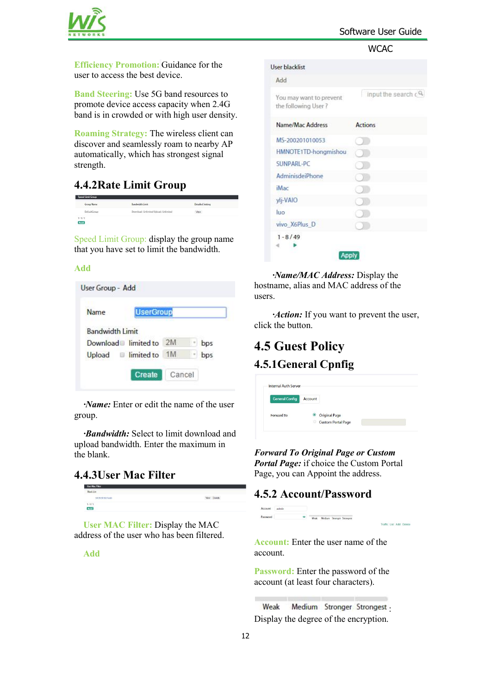

<span id="page-12-0"></span>**Efficiency Promotion:** Guidance for the user to access the best device.

**Band Steering:** Use 5G band resources to promote device access capacity when 2.4G band is in crowded or with high user density.

**Roaming Strategy:** The wireless client can discover and seamlessly roam to nearby AP automatically, which has strongest signal strength.

#### **4.4.2Rate Limit Group**

| Group Name                             | Bandwidth Limit                         | <b>Detailed Setting</b> |  |
|----------------------------------------|-----------------------------------------|-------------------------|--|
| DefaultGroup                           | Download : Unlimited Upload : Unlimited | Mew                     |  |
| $1 - 1/1$<br>fidd<br><b>CONTRACTOR</b> |                                         |                         |  |

Speed Limit Group: display the group name that you have set to limit the bandwidth.

#### **Add**

Speed Limit Group

| <b>UserGroup</b><br>Name |    |     |
|--------------------------|----|-----|
| <b>Bandwidth Limit</b>   |    |     |
| Download limited to $2M$ |    | bps |
| limited to<br>Upload     | 1M | bps |

*·Name:* Enter or edit the name of the user group.

*·Bandwidth:* Select to limit download and upload bandwidth. Enter the maximum in the blank.

#### **4.4.3User Mac Filter**

|                    | _______________ |             |  |
|--------------------|-----------------|-------------|--|
|                    | Black List      |             |  |
|                    | 5435:30:507eeb  | View Delete |  |
| $1 - 1 / 1$<br>Add |                 |             |  |
|                    |                 |             |  |

**User MAC Filter:** Display the MAC address of the user who has been filtered.

**Add**

<span id="page-12-1"></span>

| Add                                            |                                          |
|------------------------------------------------|------------------------------------------|
| You may want to prevent<br>the following User? | input the search $\epsilon$ <sup>Q</sup> |
| Name/Mac Address                               | <b>Actions</b>                           |
| MS-200201010053                                |                                          |
| HMNOTE1TD-hongmishou                           |                                          |
| SUNPARI-PC                                     |                                          |
| AdminisdeiPhone                                |                                          |
| iMac                                           |                                          |
| ylj-VAIO                                       |                                          |
| luo                                            |                                          |
| vivo X6Plus D                                  |                                          |
| $1 - 8/49$                                     |                                          |

*·Name/MAC Address:* Display the hostname, alias and MAC address of the users.

*<i>·Action:* If you want to prevent the user, click the button.

### **4.5 Guest Policy 4.5.1General Cpnfig**

|                           | Account | <b>General Config</b> |
|---------------------------|---------|-----------------------|
| <b>Original Page</b>      |         | Forward To            |
| <b>Custom Portal Page</b> | G       |                       |

*Forward To Original Page or Custom Portal Page:* if choice the Custom Portal Page, you can Appoint the address.

.<br>Charles Martin Stronge Stronger

*ffic* List Add De

#### **4.5.2 Account/Password**

**Account:** Enter the user name of the account.

**Password:** Enter the password of the account (at least four characters).

Weak : Display the degree of the encryption.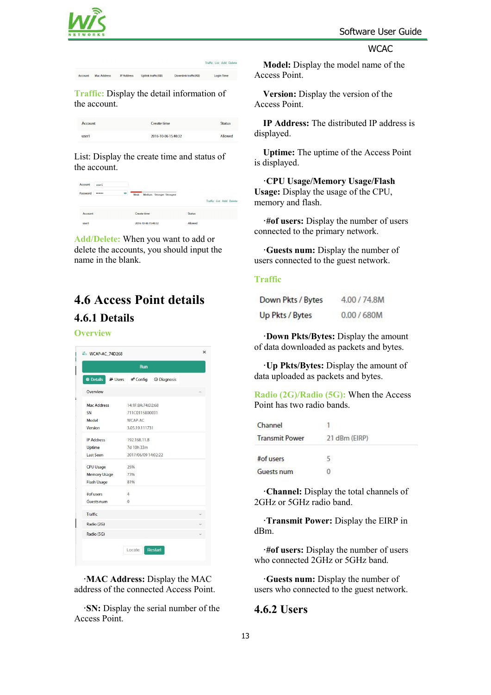

<span id="page-13-0"></span>

**Traffic:** Display the detail information of the account.

| Account | Create time         | <b>Status</b> |
|---------|---------------------|---------------|
| user1   | 2016-10-06 15:40:32 | Allowed       |

List: Display the create time and status of the account.

| Account<br>user1 |  |           |             |                     |                           |               |                         |  |
|------------------|--|-----------|-------------|---------------------|---------------------------|---------------|-------------------------|--|
| Password         |  | $\bullet$ | Weak        |                     | Medium Stronger Strongest |               | Traffic List Add Delete |  |
| Account          |  |           | Create time |                     |                           | <b>Status</b> |                         |  |
| user1            |  |           |             | 2016-10-06 15:40:32 |                           | Allowed       |                         |  |

**Add/Delete:** When you want to add or delete the accounts, you should input the name in the blank.

# **4.6 Access Point details 4.6.1 Details**

#### **Overview**

|                     | <b>Run</b>                   |  |
|---------------------|------------------------------|--|
| <b>O</b> Details    | A Users & Config 1 Diagnosis |  |
| Overview            |                              |  |
| <b>Mac Address</b>  | 14:1F:BA:74:D2:68            |  |
| SN                  | 711C0115B00031               |  |
| Model               | WCAP-AC                      |  |
| Version             | 3.05.19.111731               |  |
| <b>IP Address</b>   | 192.168.11.8                 |  |
| Uptime              | 7d 10h 33m                   |  |
| Last Seen           | 2017/06/09 14:02:22          |  |
| <b>CPU Usage</b>    | 25%                          |  |
| <b>Memory Usage</b> | 73%                          |  |
| Flash Usage         | 81%                          |  |
| #of users           | $\overline{4}$               |  |
| <b>Guests num</b>   | $\Omega$                     |  |
| Traffic             |                              |  |
| Radio (2G)          |                              |  |
| Radio (5G)          |                              |  |

**·MAC Address:** Display the MAC address of the connected Access Point.

**·SN:** Display the serial number of the Access Point.

<span id="page-13-1"></span>**Model:** Display the model name of the Access Point.

**Version:** Display the version of the Access Point.

**IP Address:** The distributed IP address is displayed.

**Uptime:** The uptime of the Access Point is displayed.

**·CPU Usage/Memory Usage/Flash Usage:** Display the usage of the CPU, memory and flash.

**·#of users:** Display the number of users connected to the primary network.

**·Guests num:** Display the number of users connected to the guest network.

#### **Traffic**

| Down Pkts / Bytes | 4.00 / 74.8M |
|-------------------|--------------|
| Up Pkts / Bytes   | 0.00 / 680M  |

**·Down Pkts/Bytes:** Display the amount of data downloaded as packets and bytes.

**·Up Pkts/Bytes:** Display the amount of data uploaded as packets and bytes.

**Radio (2G)/Radio (5G):** When the Access Point has two radio bands.

| Channel               |               |  |
|-----------------------|---------------|--|
| <b>Transmit Power</b> | 21 dBm (EIRP) |  |
| #of users             |               |  |
| <b>Guests num</b>     |               |  |

**·Channel:** Display the total channels of 2GHz or 5GHz radio band.

**·Transmit Power:** Display the EIRP in dBm.

**·#of users:** Display the number of users who connected 2GHz or 5GHz band.

**·Guests num:** Display the number of users who connected to the guest network.

#### **4.6.2 Users**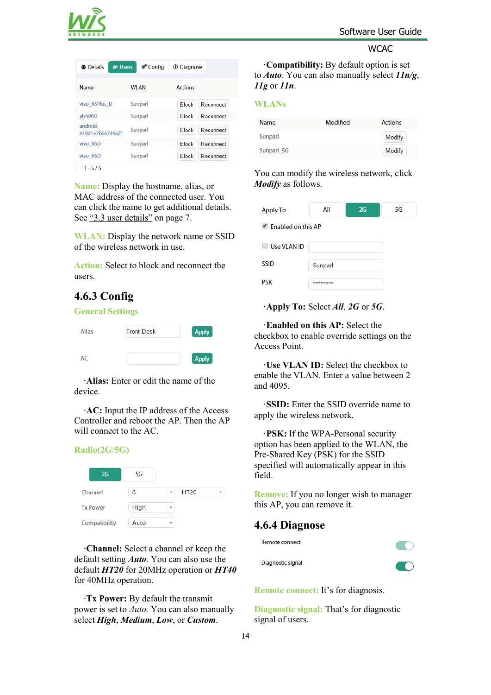

<span id="page-14-0"></span>

| &# Users<br><b><i><del>®</del></i></b> Details</th><th>® Config</th><th><b>C</b> Diagnose</th><th></th></tr><tr><td>Name</td><td><b>WI AN</b></td><td><b>Actions</b></td><td></td></tr><tr><td>vivo X6Plus D</td><td colspan=2>Sunparl</td><td>Reconnect</td></tr><tr><td>ylj-VAIO</td><td>Sunparl</td><td><b>Block</b></td><td>Reconnect</td></tr><tr><td>android-<br>619d1e7b66749a7f</td><td>Sunparl</td><td><b>Block</b></td><td>Reconnect</td></tr><tr><td>vivo X6D</td><td>Sunparl</td><td><b>Block</b></td><td>Reconnect</td></tr><tr><td>vivo X6D</td><td colspan=2>Sunparl</td><td>Reconnect</td></tr><tr><td><math>1 - 5/5</math></td><td></td><td></td><td></td></tr></tbody></table> |
|--------------------------------------------------------------------------------------------------------------------------------------------------------------------------------------------------------------------------------------------------------------------------------------------------------------------------------------------------------------------------------------------------------------------------------------------------------------------------------------------------------------------------------------------------------------------------------------------------------------------------------------------------------------------------------------------------|
|--------------------------------------------------------------------------------------------------------------------------------------------------------------------------------------------------------------------------------------------------------------------------------------------------------------------------------------------------------------------------------------------------------------------------------------------------------------------------------------------------------------------------------------------------------------------------------------------------------------------------------------------------------------------------------------------------|

**Name:** Display the hostname, alias, or MAC address of the connected user. You can click the name to get additional details. See "3.3 user [details"](#page-7-0) on page 7.

**WLAN:** Display the network name or SSID of the wireless network in use.

**Action:** Select to block and reconnect the users.

#### **4.6.3 Config**

#### **General Settings**



**·Alias:** Enter or edit the name of the device.

**·AC:** Input the IP address of the Access Controller and reboot the AP. Then the AP will connect to the AC.

#### **Radio(2G/5G)**

| 2G              | 5G   |             |  |
|-----------------|------|-------------|--|
| Channel         | 6    | <b>HT20</b> |  |
| <b>Tx Power</b> | High |             |  |
| Compatibility   | Auto |             |  |

**·Channel:** Select a channel or keep the default setting *Auto*. You can also use the Diagnostic signal default *HT20* for 20MHz operation or *HT40* for 40MHz operation.

**·Tx Power:** By default the transmit power is set to *Auto.* You can also manually select *High*, *Medium*, *Low*, or *Custom*.

<span id="page-14-1"></span>**·Compatibility:** By default option is set to *Auto*. You can also manually select *11n/g*, *11g* or *11n*.

#### **WLANs**

| Name       | Modified | <b>Actions</b> |
|------------|----------|----------------|
| Sunparl    |          | Modify         |
| Sunparl 5G |          | Modify         |

You can modify the wireless network, click *Modify* as follows.

| <b>Apply To</b>                   | All      | 2G | 5G |
|-----------------------------------|----------|----|----|
| $\blacksquare$ Enabled on this AP |          |    |    |
| Use VLAN ID<br><b>In</b>          |          |    |    |
| <b>SSID</b>                       | Sunparl  |    |    |
| <b>PSK</b>                        | ******** |    |    |

**·Apply To:** Select *All*, *2G* or *5G*.

**·Enabled on this AP:** Select the checkbox to enable override settings on the Access Point.

**·Use VLAN ID:** Select the checkbox to enable the VLAN. Enter a value between 2 and 4095.

**·SSID:** Enter the SSID override name to apply the wireless network.

**·PSK:** If the WPA-Personal security option has been applied to the WLAN, the Pre-Shared Key (PSK) for the SSID specified will automatically appear in this field.

**Remove:** If you no longer wish to manager this AP, you can remove it.

#### **4.6.4 Diagnose**

Remote connect



 $\sqrt{2}$ 

**Remote connect:** It's for diagnosis.

**Diagnostic signal:** That's for diagnostic signal of users.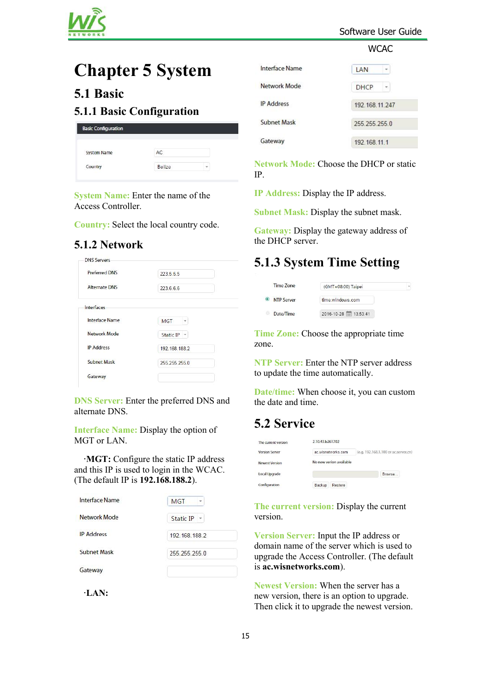

#### Software User Guide

#### **WCAC**

# <span id="page-15-0"></span>**Chapter 5 System**

### **5.1 Basic**

#### **5.1.1 Basic Configuration**

| <b>Basic Configuration</b> |        |                          |
|----------------------------|--------|--------------------------|
| <b>System Name</b>         | AC     |                          |
| Country                    | Belize | $\overline{\phantom{a}}$ |

**System Name:** Enter the name of the Access Controller.

**Country:** Select the local country code.

#### **5.1.2 Network**

| <b>Preferred DNS</b> | 223.5.5.5       |
|----------------------|-----------------|
| <b>Alternate DNS</b> | 223.6.6.6       |
| Interfaces           |                 |
| Interface Name       | <b>MGT</b><br>٠ |
| Network Mode         | Static IP -     |
| <b>IP Address</b>    | 192.168.188.2   |
| <b>Subnet Mask</b>   | 255.255.255.0   |
|                      |                 |

**DNS Server:** Enter the preferred DNS and alternate DNS.

**Interface Name:** Display the option of MGT or LAN.

**·MGT:** Configure the static IP address and this IP is used to login in the WCAC. (The default IP is **192.168.188.2**).

| Interface Name    | <b>MGT</b><br>v  |
|-------------------|------------------|
| Network Mode      | <b>Static IP</b> |
| <b>IP Address</b> | 192 168 188 2    |
| Subnet Mask       | 255 255 255 0    |
| Gateway           |                  |

**·LAN:**

<span id="page-15-1"></span>

| Interface Name    | <b>LAN</b><br>÷   |
|-------------------|-------------------|
| Network Mode      | <b>DHCP</b><br>Y. |
| <b>IP Address</b> | 192 168 11 247    |
| Subnet Mask       | 255 255 255 0     |
| Gateway           | 192.168.11.1      |

**Network Mode:** Choose the DHCP or static IP.

**IP Address:** Display the IP address.

**Subnet Mask:** Display the subnet mask.

**Gateway:** Display the gateway address of the DHCP server.

# **5.1.3 System Time Setting**

| Time Zone  | (GMT+08:00) Taipei    |  |
|------------|-----------------------|--|
| NTP Server | time windows com      |  |
| Date/Time  | 2016-10-28 = 13:53:41 |  |

**Time Zone:** Choose the appropriate time zone.

**NTP Server:** Enter the NTP server address to update the time automatically.

**Date/time:** When choose it, you can custom the date and time.

# **5.2 Service**

| The current version   | 2.10.43.b261702         |                                      |
|-----------------------|-------------------------|--------------------------------------|
| <b>Version Server</b> | ac.wisnetworks.com      | (e.g. 192.168.1.100 or ac.server.cn) |
| <b>Newest Version</b> | No new verion available |                                      |
| ocal Upgrade          |                         | Browse                               |
| Configuration         | Backup<br>Restore       |                                      |

**The current version:** Display the current version.

**Version Server:** Input the IP address or domain name of the server which is used to upgrade the Access Controller. (The default is **ac.wisnetworks.com**).

**Newest Version:** When the server has a new version, there is an option to upgrade.Then click it to upgrade the newest version.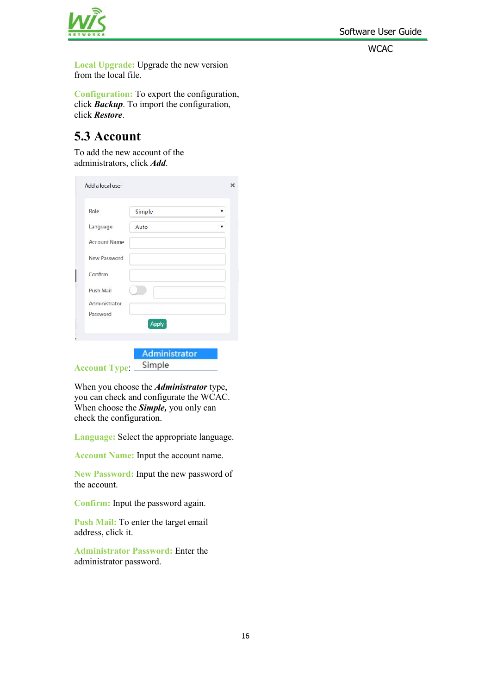Software User Guide

**WCAC** 



<span id="page-16-0"></span>**Local Upgrade:** Upgrade the new version from the local file.

**Configuration:** To export the configuration, click *Backup*. To import the configuration, click *Restore*.

# **5.3 Account**

To add the new account of the administrators, click *Add*.

| Role                      | Simple       |  |
|---------------------------|--------------|--|
| Language                  | Auto         |  |
| <b>Account Name</b>       |              |  |
| New Password              |              |  |
| Confirm                   |              |  |
| Push Mail                 |              |  |
| Administrator<br>Password |              |  |
|                           | <b>Apply</b> |  |
|                           |              |  |

When you choose the *Administrator* type, you can check and configurate the WCAC. When choose the *Simple,* you only can check the configuration.

**Language:** Select the appropriate language.

**Account Name:** Input the account name.

**New Password:** Input the new password of the account.

**Confirm:** Input the password again.

**Push Mail:** To enter the target email address, click it.

**Administrator Password:** Enter the administrator password.